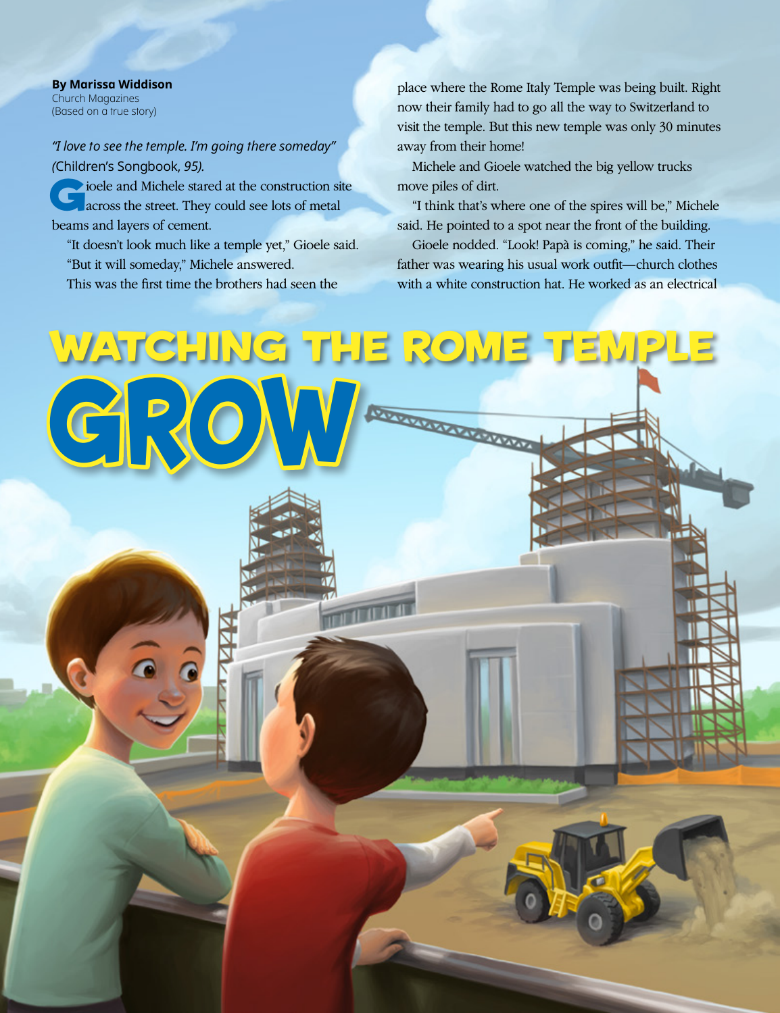**By Marissa Widdison** Church Magazines (Based on a true story)

## *"I love to see the temple. I'm going there someday" (*Children's Songbook, *95).*

 $\bullet$  ioele and Michele stared at the construction site across the street. They could see lots of metal beams and layers of cement.

"It doesn't look much like a temple yet," Gioele said. "But it will someday," Michele answered. This was the first time the brothers had seen the

place where the Rome Italy Temple was being built. Right now their family had to go all the way to Switzerland to visit the temple. But this new temple was only 30 minutes away from their home!

Michele and Gioele watched the big yellow trucks move piles of dirt.

"I think that's where one of the spires will be," Michele said. He pointed to a spot near the front of the building.

Gioele nodded. "Look! Papà is coming," he said. Their father was wearing his usual work outfit—church clothes with a white construction hat. He worked as an electrical

## Watching the Rome Temple  $G.80$ Ш